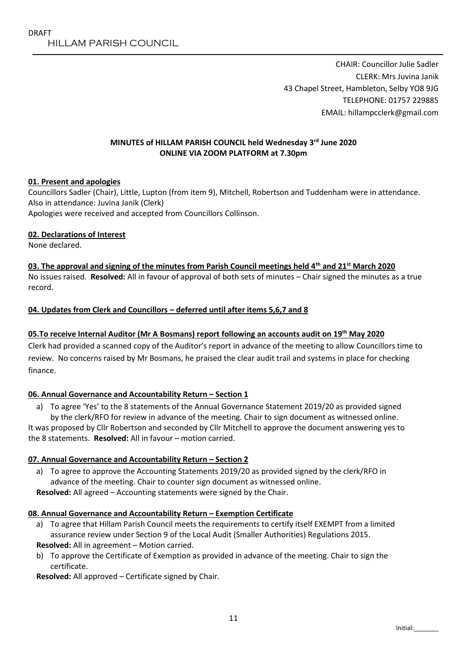CHAIR: Councillor Julie Sadler CLERK: Mrs Juvina Janik 43 Chapel Street, Hambleton, Selby YO8 9JG TELEPHONE: 01757 229885 EMAIL: hillampcclerk@gmail.com

# **MINUTES of HILLAM PARISH COUNCIL held Wednesday 3rd June 2020 ONLINE VIA ZOOM PLATFORM at 7.30pm**

# **01. Present and apologies**

Councillors Sadler (Chair), Little, Lupton (from item 9), Mitchell, Robertson and Tuddenham were in attendance. Also in attendance: Juvina Janik (Clerk)

Apologies were received and accepted from Councillors Collinson.

# **02. Declarations of Interest**

None declared.

**03. The approval and signing of the minutes from Parish Council meetings held 4th and 21st March 2020** No issues raised. **Resolved:** All in favour of approval of both sets of minutes – Chair signed the minutes as a true record.

# **04. Updates from Clerk and Councillors – deferred until after items 5,6,7 and 8**

# **05.To receive Internal Auditor (Mr A Bosmans) report following an accounts audit on 19th May 2020**

Clerk had provided a scanned copy of the Auditor's report in advance of the meeting to allow Councillors time to review. No concerns raised by Mr Bosmans, he praised the clear audit trail and systems in place for checking finance.

# **06. Annual Governance and Accountability Return – Section 1**

a) To agree 'Yes' to the 8 statements of the Annual Governance Statement 2019/20 as provided signed by the clerk/RFO for review in advance of the meeting. Chair to sign document as witnessed online.

It was proposed by Cllr Robertson and seconded by Cllr Mitchell to approve the document answering yes to the 8 statements. **Resolved:** All in favour – motion carried.

# **07. Annual Governance and Accountability Return – Section 2**

a) To agree to approve the Accounting Statements 2019/20 as provided signed by the clerk/RFO in advance of the meeting. Chair to counter sign document as witnessed online.

**Resolved:** All agreed – Accounting statements were signed by the Chair.

# **08. Annual Governance and Accountability Return – Exemption Certificate**

- a) To agree that Hillam Parish Council meets the requirements to certify itself EXEMPT from a limited assurance review under Section 9 of the Local Audit (Smaller Authorities) Regulations 2015. **Resolved:** All in agreement – Motion carried.
- b) To approve the Certificate of Exemption as provided in advance of the meeting. Chair to sign the certificate.

**Resolved:** All approved – Certificate signed by Chair.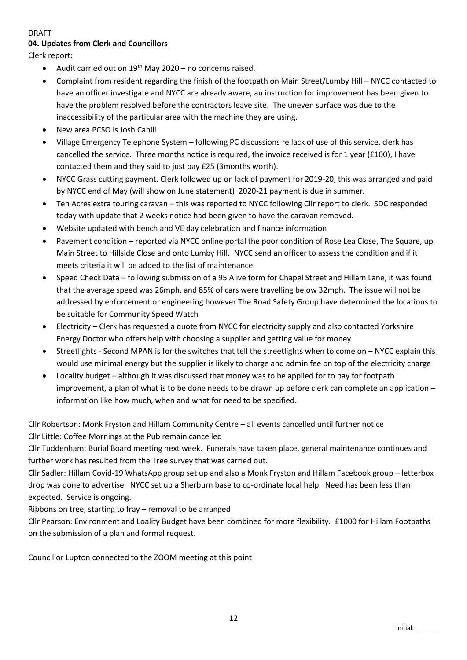#### DRAFT **04. Updates from Clerk and Councillors**

Clerk report:

- Audit carried out on  $19^{th}$  May 2020 no concerns raised.
- Complaint from resident regarding the finish of the footpath on Main Street/Lumby Hill NYCC contacted to have an officer investigate and NYCC are already aware, an instruction for improvement has been given to have the problem resolved before the contractors leave site. The uneven surface was due to the inaccessibility of the particular area with the machine they are using.
- New area PCSO is Josh Cahill
- Village Emergency Telephone System following PC discussions re lack of use of this service, clerk has cancelled the service. Three months notice is required, the invoice received is for 1 year (£100), I have contacted them and they said to just pay £25 (3months worth).
- NYCC Grass cutting payment. Clerk followed up on lack of payment for 2019-20, this was arranged and paid by NYCC end of May (will show on June statement) 2020-21 payment is due in summer.
- Ten Acres extra touring caravan this was reported to NYCC following Cllr report to clerk. SDC responded today with update that 2 weeks notice had been given to have the caravan removed.
- Website updated with bench and VE day celebration and finance information
- Pavement condition reported via NYCC online portal the poor condition of Rose Lea Close, The Square, up Main Street to Hillside Close and onto Lumby Hill. NYCC send an officer to assess the condition and if it meets criteria it will be added to the list of maintenance
- Speed Check Data following submission of a 95 Alive form for Chapel Street and Hillam Lane, it was found that the average speed was 26mph, and 85% of cars were travelling below 32mph. The issue will not be addressed by enforcement or engineering however The Road Safety Group have determined the locations to be suitable for Community Speed Watch
- Electricity Clerk has requested a quote from NYCC for electricity supply and also contacted Yorkshire Energy Doctor who offers help with choosing a supplier and getting value for money
- Streetlights Second MPAN is for the switches that tell the streetlights when to come on NYCC explain this would use minimal energy but the supplier is likely to charge and admin fee on top of the electricity charge
- Locality budget although it was discussed that money was to be applied for to pay for footpath improvement, a plan of what is to be done needs to be drawn up before clerk can complete an application – information like how much, when and what for need to be specified.

Cllr Robertson: Monk Fryston and Hillam Community Centre – all events cancelled until further notice Cllr Little: Coffee Mornings at the Pub remain cancelled

Cllr Tuddenham: Burial Board meeting next week. Funerals have taken place, general maintenance continues and further work has resulted from the Tree survey that was carried out.

Cllr Sadler: Hillam Covid-19 WhatsApp group set up and also a Monk Fryston and Hillam Facebook group – letterbox drop was done to advertise. NYCC set up a Sherburn base to co-ordinate local help. Need has been less than expected. Service is ongoing.

Ribbons on tree, starting to fray – removal to be arranged

Cllr Pearson: Environment and Loality Budget have been combined for more flexibility. £1000 for Hillam Footpaths on the submission of a plan and formal request.

Councillor Lupton connected to the ZOOM meeting at this point